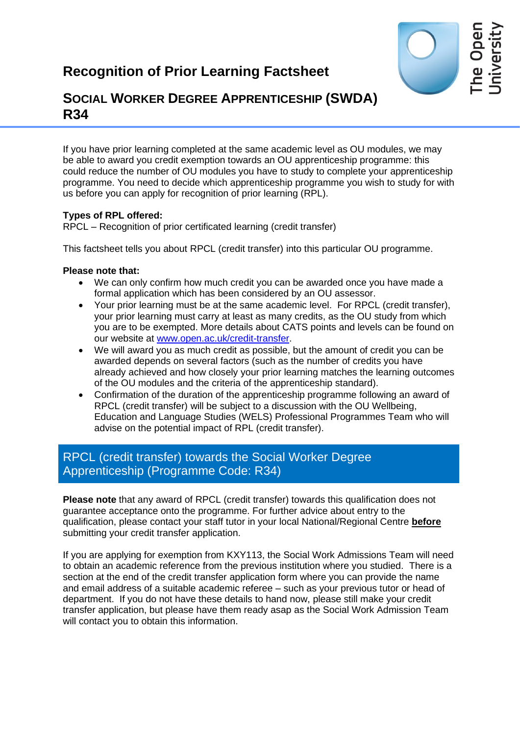

# **SOCIAL WORKER DEGREE APPRENTICESHIP (SWDA) R34**

If you have prior learning completed at the same academic level as OU modules, we may be able to award you credit exemption towards an OU apprenticeship programme: this could reduce the number of OU modules you have to study to complete your apprenticeship programme. You need to decide which apprenticeship programme you wish to study for with us before you can apply for recognition of prior learning (RPL).

## **Types of RPL offered:**

RPCL – Recognition of prior certificated learning (credit transfer)

This factsheet tells you about RPCL (credit transfer) into this particular OU programme.

### **Please note that:**

- We can only confirm how much credit you can be awarded once you have made a formal application which has been considered by an OU assessor.
- Your prior learning must be at the same academic level. For RPCL (credit transfer), your prior learning must carry at least as many credits, as the OU study from which you are to be exempted. More details about CATS points and levels can be found on our website at [www.open.ac.uk/credit-transfer.](http://www.open.ac.uk/credit-transfer)
- We will award you as much credit as possible, but the amount of credit you can be awarded depends on several factors (such as the number of credits you have already achieved and how closely your prior learning matches the learning outcomes of the OU modules and the criteria of the apprenticeship standard).
- Confirmation of the duration of the apprenticeship programme following an award of RPCL (credit transfer) will be subject to a discussion with the OU Wellbeing, Education and Language Studies (WELS) Professional Programmes Team who will advise on the potential impact of RPL (credit transfer).

## RPCL (credit transfer) towards the Social Worker Degree Apprenticeship (Programme Code: R34)

**Please note** that any award of RPCL (credit transfer) towards this qualification does not guarantee acceptance onto the programme. For further advice about entry to the qualification, please contact your staff tutor in your local National/Regional Centre **before** submitting your credit transfer application.

If you are applying for exemption from KXY113, the Social Work Admissions Team will need to obtain an academic reference from the previous institution where you studied. There is a section at the end of the credit transfer application form where you can provide the name and email address of a suitable academic referee – such as your previous tutor or head of department. If you do not have these details to hand now, please still make your credit transfer application, but please have them ready asap as the Social Work Admission Team will contact you to obtain this information.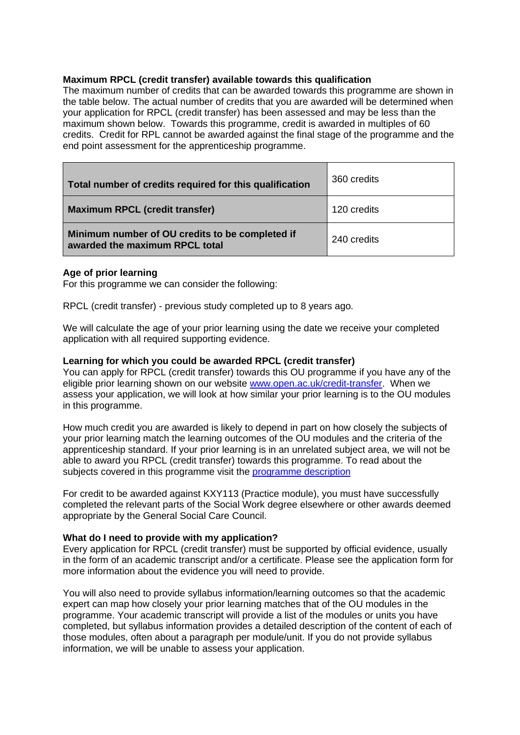#### **Maximum RPCL (credit transfer) available towards this qualification**

The maximum number of credits that can be awarded towards this programme are shown in the table below. The actual number of credits that you are awarded will be determined when your application for RPCL (credit transfer) has been assessed and may be less than the maximum shown below. Towards this programme, credit is awarded in multiples of 60 credits. Credit for RPL cannot be awarded against the final stage of the programme and the end point assessment for the apprenticeship programme.

| Total number of credits required for this qualification                           | 360 credits |
|-----------------------------------------------------------------------------------|-------------|
| <b>Maximum RPCL (credit transfer)</b>                                             | 120 credits |
| Minimum number of OU credits to be completed if<br>awarded the maximum RPCL total | 240 credits |

#### **Age of prior learning**

For this programme we can consider the following:

RPCL (credit transfer) - previous study completed up to 8 years ago.

We will calculate the age of your prior learning using the date we receive your completed application with all required supporting evidence.

#### **Learning for which you could be awarded RPCL (credit transfer)**

You can apply for RPCL (credit transfer) towards this OU programme if you have any of the eligible prior learning shown on our website [www.open.ac.uk/credit-transfer.](http://www.open.ac.uk/credit-transfer) When we assess your application, we will look at how similar your prior learning is to the OU modules in this programme.

How much credit you are awarded is likely to depend in part on how closely the subjects of your prior learning match the learning outcomes of the OU modules and the criteria of the apprenticeship standard. If your prior learning is in an unrelated subject area, we will not be able to award you RPCL (credit transfer) towards this programme. To read about the subjects covered in this programme visit the [programme description](https://info1.open.ac.uk/swda-resources)

For credit to be awarded against KXY113 (Practice module), you must have successfully completed the relevant parts of the Social Work degree elsewhere or other awards deemed appropriate by the General Social Care Council.

#### **What do I need to provide with my application?**

Every application for RPCL (credit transfer) must be supported by official evidence, usually in the form of an academic transcript and/or a certificate. Please see the application form for more information about the evidence you will need to provide.

You will also need to provide syllabus information/learning outcomes so that the academic expert can map how closely your prior learning matches that of the OU modules in the programme. Your academic transcript will provide a list of the modules or units you have completed, but syllabus information provides a detailed description of the content of each of those modules, often about a paragraph per module/unit. If you do not provide syllabus information, we will be unable to assess your application.